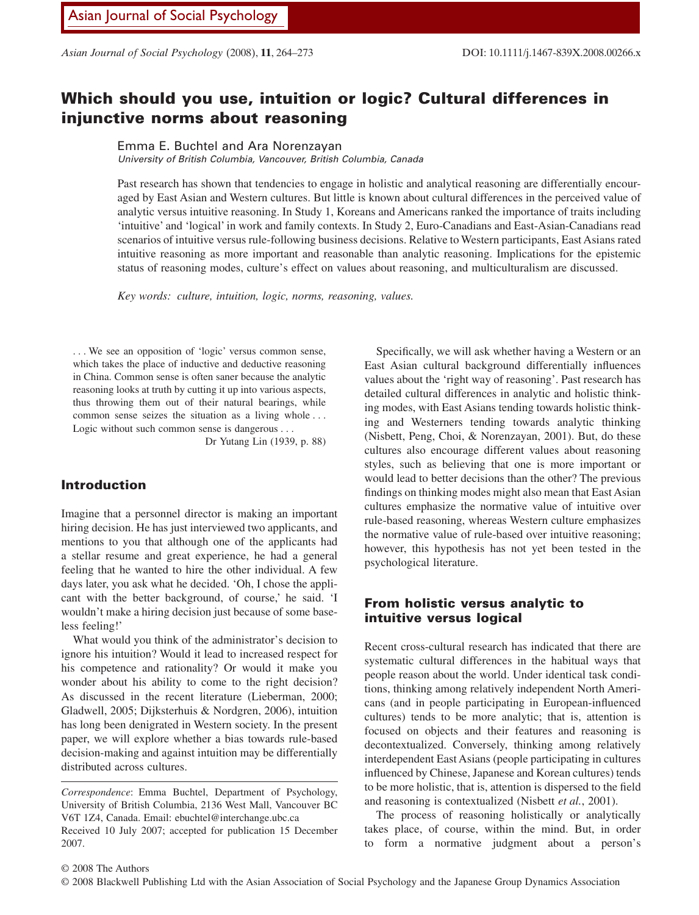*Asian Journal of Social Psychology* (2008), **11**, 264–273 DOI: 10.1111/j.1467-839X.2008.00266.x

# **Which should you use, intuition or logic? Cultural differences in injunctive norms about reasoning**

Emma E. Buchtel and Ara Norenzayan

*University of British Columbia, Vancouver, British Columbia, Canada*

Past research has shown that tendencies to engage in holistic and analytical reasoning are differentially encouraged by East Asian and Western cultures. But little is known about cultural differences in the perceived value of analytic versus intuitive reasoning. In Study 1, Koreans and Americans ranked the importance of traits including 'intuitive' and 'logical' in work and family contexts. In Study 2, Euro-Canadians and East-Asian-Canadians read scenarios of intuitive versus rule-following business decisions. Relative to Western participants, East Asians rated intuitive reasoning as more important and reasonable than analytic reasoning. Implications for the epistemic status of reasoning modes, culture's effect on values about reasoning, and multiculturalism are discussed.

*Key words: culture, intuition, logic, norms, reasoning, values.*

. . . We see an opposition of 'logic' versus common sense, which takes the place of inductive and deductive reasoning in China. Common sense is often saner because the analytic reasoning looks at truth by cutting it up into various aspects, thus throwing them out of their natural bearings, while common sense seizes the situation as a living whole... Logic without such common sense is dangerous . . .

Dr Yutang Lin (1939, p. 88)

# **Introduction**

Imagine that a personnel director is making an important hiring decision. He has just interviewed two applicants, and mentions to you that although one of the applicants had a stellar resume and great experience, he had a general feeling that he wanted to hire the other individual. A few days later, you ask what he decided. 'Oh, I chose the applicant with the better background, of course,' he said. 'I wouldn't make a hiring decision just because of some baseless feeling!'

What would you think of the administrator's decision to ignore his intuition? Would it lead to increased respect for his competence and rationality? Or would it make you wonder about his ability to come to the right decision? As discussed in the recent literature (Lieberman, 2000; Gladwell, 2005; Dijksterhuis & Nordgren, 2006), intuition has long been denigrated in Western society. In the present paper, we will explore whether a bias towards rule-based decision-making and against intuition may be differentially distributed across cultures.

Specifically, we will ask whether having a Western or an East Asian cultural background differentially influences values about the 'right way of reasoning'. Past research has detailed cultural differences in analytic and holistic thinking modes, with East Asians tending towards holistic thinking and Westerners tending towards analytic thinking (Nisbett, Peng, Choi, & Norenzayan, 2001). But, do these cultures also encourage different values about reasoning styles, such as believing that one is more important or would lead to better decisions than the other? The previous findings on thinking modes might also mean that East Asian cultures emphasize the normative value of intuitive over rule-based reasoning, whereas Western culture emphasizes the normative value of rule-based over intuitive reasoning; however, this hypothesis has not yet been tested in the psychological literature.

# **From holistic versus analytic to intuitive versus logical**

Recent cross-cultural research has indicated that there are systematic cultural differences in the habitual ways that people reason about the world. Under identical task conditions, thinking among relatively independent North Americans (and in people participating in European-influenced cultures) tends to be more analytic; that is, attention is focused on objects and their features and reasoning is decontextualized. Conversely, thinking among relatively interdependent East Asians (people participating in cultures influenced by Chinese, Japanese and Korean cultures) tends to be more holistic, that is, attention is dispersed to the field and reasoning is contextualized (Nisbett *et al.*, 2001).

The process of reasoning holistically or analytically takes place, of course, within the mind. But, in order to form a normative judgment about a person's

2007.

*Correspondence*: Emma Buchtel, Department of Psychology, University of British Columbia, 2136 West Mall, Vancouver BC V6T 1Z4, Canada. Email: [ebuchtel@interchange.ubc.ca](mailto:ebuchtel@interchange.ubc.ca) Received 10 July 2007; accepted for publication 15 December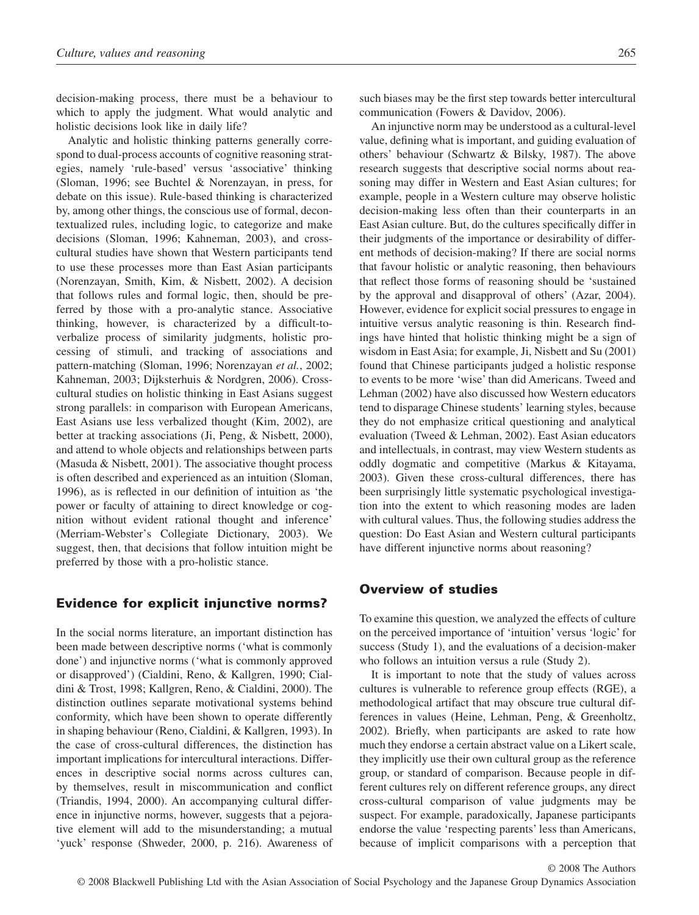decision-making process, there must be a behaviour to which to apply the judgment. What would analytic and holistic decisions look like in daily life?

Analytic and holistic thinking patterns generally correspond to dual-process accounts of cognitive reasoning strategies, namely 'rule-based' versus 'associative' thinking (Sloman, 1996; see Buchtel & Norenzayan, in press, for debate on this issue). Rule-based thinking is characterized by, among other things, the conscious use of formal, decontextualized rules, including logic, to categorize and make decisions (Sloman, 1996; Kahneman, 2003), and crosscultural studies have shown that Western participants tend to use these processes more than East Asian participants (Norenzayan, Smith, Kim, & Nisbett, 2002). A decision that follows rules and formal logic, then, should be preferred by those with a pro-analytic stance. Associative thinking, however, is characterized by a difficult-toverbalize process of similarity judgments, holistic processing of stimuli, and tracking of associations and pattern-matching (Sloman, 1996; Norenzayan *et al.*, 2002; Kahneman, 2003; Dijksterhuis & Nordgren, 2006). Crosscultural studies on holistic thinking in East Asians suggest strong parallels: in comparison with European Americans, East Asians use less verbalized thought (Kim, 2002), are better at tracking associations (Ji, Peng, & Nisbett, 2000), and attend to whole objects and relationships between parts (Masuda & Nisbett, 2001). The associative thought process is often described and experienced as an intuition (Sloman, 1996), as is reflected in our definition of intuition as 'the power or faculty of attaining to direct knowledge or cognition without evident rational thought and inference' (Merriam-Webster's Collegiate Dictionary, 2003). We suggest, then, that decisions that follow intuition might be preferred by those with a pro-holistic stance.

## **Evidence for explicit injunctive norms?**

In the social norms literature, an important distinction has been made between descriptive norms ('what is commonly done') and injunctive norms ('what is commonly approved or disapproved') (Cialdini, Reno, & Kallgren, 1990; Cialdini & Trost, 1998; Kallgren, Reno, & Cialdini, 2000). The distinction outlines separate motivational systems behind conformity, which have been shown to operate differently in shaping behaviour (Reno, Cialdini, & Kallgren, 1993). In the case of cross-cultural differences, the distinction has important implications for intercultural interactions. Differences in descriptive social norms across cultures can, by themselves, result in miscommunication and conflict (Triandis, 1994, 2000). An accompanying cultural difference in injunctive norms, however, suggests that a pejorative element will add to the misunderstanding; a mutual 'yuck' response (Shweder, 2000, p. 216). Awareness of such biases may be the first step towards better intercultural communication (Fowers & Davidov, 2006).

An injunctive norm may be understood as a cultural-level value, defining what is important, and guiding evaluation of others' behaviour (Schwartz & Bilsky, 1987). The above research suggests that descriptive social norms about reasoning may differ in Western and East Asian cultures; for example, people in a Western culture may observe holistic decision-making less often than their counterparts in an East Asian culture. But, do the cultures specifically differ in their judgments of the importance or desirability of different methods of decision-making? If there are social norms that favour holistic or analytic reasoning, then behaviours that reflect those forms of reasoning should be 'sustained by the approval and disapproval of others' (Azar, 2004). However, evidence for explicit social pressures to engage in intuitive versus analytic reasoning is thin. Research findings have hinted that holistic thinking might be a sign of wisdom in East Asia; for example, Ji, Nisbett and Su (2001) found that Chinese participants judged a holistic response to events to be more 'wise' than did Americans. Tweed and Lehman (2002) have also discussed how Western educators tend to disparage Chinese students' learning styles, because they do not emphasize critical questioning and analytical evaluation (Tweed & Lehman, 2002). East Asian educators and intellectuals, in contrast, may view Western students as oddly dogmatic and competitive (Markus & Kitayama, 2003). Given these cross-cultural differences, there has been surprisingly little systematic psychological investigation into the extent to which reasoning modes are laden with cultural values. Thus, the following studies address the question: Do East Asian and Western cultural participants have different injunctive norms about reasoning?

# **Overview of studies**

To examine this question, we analyzed the effects of culture on the perceived importance of 'intuition' versus 'logic' for success (Study 1), and the evaluations of a decision-maker who follows an intuition versus a rule (Study 2).

It is important to note that the study of values across cultures is vulnerable to reference group effects (RGE), a methodological artifact that may obscure true cultural differences in values (Heine, Lehman, Peng, & Greenholtz, 2002). Briefly, when participants are asked to rate how much they endorse a certain abstract value on a Likert scale, they implicitly use their own cultural group as the reference group, or standard of comparison. Because people in different cultures rely on different reference groups, any direct cross-cultural comparison of value judgments may be suspect. For example, paradoxically, Japanese participants endorse the value 'respecting parents' less than Americans, because of implicit comparisons with a perception that

© 2008 The Authors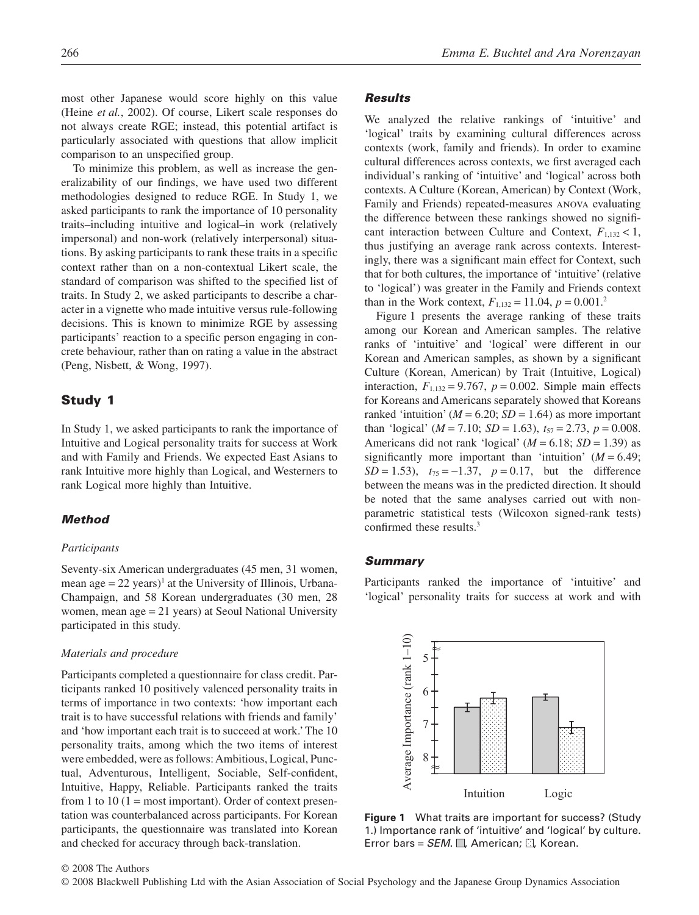most other Japanese would score highly on this value (Heine *et al.*, 2002). Of course, Likert scale responses do not always create RGE; instead, this potential artifact is particularly associated with questions that allow implicit comparison to an unspecified group.

To minimize this problem, as well as increase the generalizability of our findings, we have used two different methodologies designed to reduce RGE. In Study 1, we asked participants to rank the importance of 10 personality traits–including intuitive and logical–in work (relatively impersonal) and non-work (relatively interpersonal) situations. By asking participants to rank these traits in a specific context rather than on a non-contextual Likert scale, the standard of comparison was shifted to the specified list of traits. In Study 2, we asked participants to describe a character in a vignette who made intuitive versus rule-following decisions. This is known to minimize RGE by assessing participants' reaction to a specific person engaging in concrete behaviour, rather than on rating a value in the abstract (Peng, Nisbett, & Wong, 1997).

# **Study 1**

In Study 1, we asked participants to rank the importance of Intuitive and Logical personality traits for success at Work and with Family and Friends. We expected East Asians to rank Intuitive more highly than Logical, and Westerners to rank Logical more highly than Intuitive.

### *Method*

#### *Participants*

Seventy-six American undergraduates (45 men, 31 women, mean age  $= 22$  years)<sup>1</sup> at the University of Illinois, Urbana-Champaign, and 58 Korean undergraduates (30 men, 28 women, mean age = 21 years) at Seoul National University participated in this study.

#### *Materials and procedure*

Participants completed a questionnaire for class credit. Participants ranked 10 positively valenced personality traits in terms of importance in two contexts: 'how important each trait is to have successful relations with friends and family' and 'how important each trait is to succeed at work.' The 10 personality traits, among which the two items of interest were embedded, were as follows:Ambitious, Logical, Punctual, Adventurous, Intelligent, Sociable, Self-confident, Intuitive, Happy, Reliable. Participants ranked the traits from 1 to 10  $(1 = \text{most important})$ . Order of context presentation was counterbalanced across participants. For Korean participants, the questionnaire was translated into Korean and checked for accuracy through back-translation.

#### *Results*

We analyzed the relative rankings of 'intuitive' and 'logical' traits by examining cultural differences across contexts (work, family and friends). In order to examine cultural differences across contexts, we first averaged each individual's ranking of 'intuitive' and 'logical' across both contexts. A Culture (Korean, American) by Context (Work, Family and Friends) repeated-measures anova evaluating the difference between these rankings showed no significant interaction between Culture and Context,  $F_{1,132}$  < 1, thus justifying an average rank across contexts. Interestingly, there was a significant main effect for Context, such that for both cultures, the importance of 'intuitive' (relative to 'logical') was greater in the Family and Friends context than in the Work context,  $F_{1,132} = 11.04$ ,  $p = 0.001$ .<sup>2</sup>

Figure 1 presents the average ranking of these traits among our Korean and American samples. The relative ranks of 'intuitive' and 'logical' were different in our Korean and American samples, as shown by a significant Culture (Korean, American) by Trait (Intuitive, Logical) interaction,  $F_{1,132} = 9.767$ ,  $p = 0.002$ . Simple main effects for Koreans and Americans separately showed that Koreans ranked 'intuition'  $(M = 6.20; SD = 1.64)$  as more important than 'logical' ( $M = 7.10$ ;  $SD = 1.63$ ),  $t_{57} = 2.73$ ,  $p = 0.008$ . Americans did not rank 'logical' ( $M = 6.18$ ;  $SD = 1.39$ ) as significantly more important than 'intuition'  $(M = 6.49)$ ; *SD* = 1.53),  $t_{75} = -1.37$ ,  $p = 0.17$ , but the difference between the means was in the predicted direction. It should be noted that the same analyses carried out with nonparametric statistical tests (Wilcoxon signed-rank tests) confirmed these results.<sup>3</sup>

#### *Summary*

Participants ranked the importance of 'intuitive' and 'logical' personality traits for success at work and with



**Figure 1** What traits are important for success? (Study 1.) Importance rank of 'intuitive' and 'logical' by culture. Error bars =  $SEM$ .  $\Box$ , American;  $\Box$ , Korean.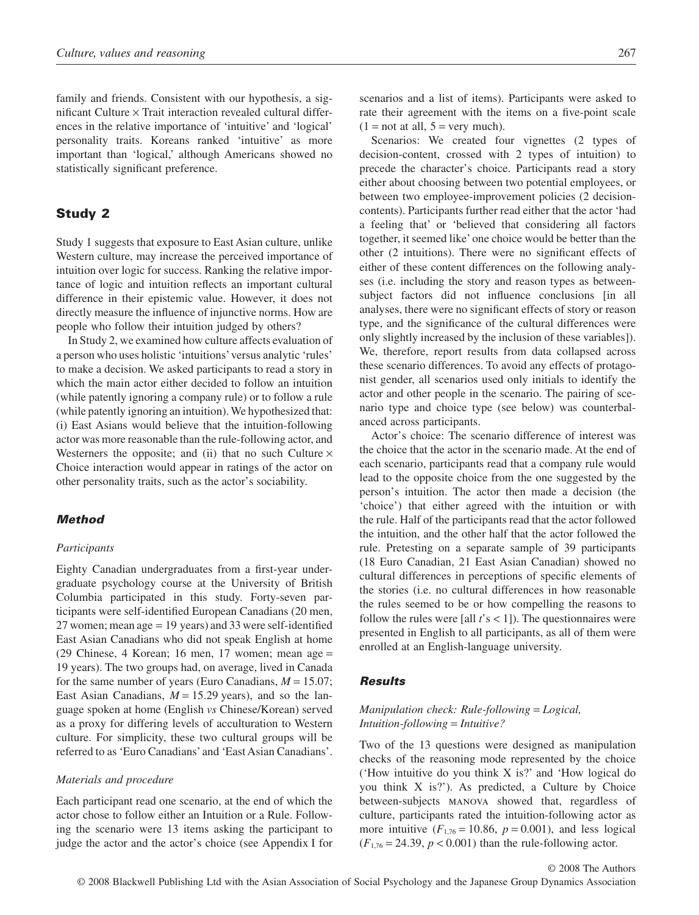family and friends. Consistent with our hypothesis, a significant Culture  $\times$  Trait interaction revealed cultural differences in the relative importance of 'intuitive' and 'logical' personality traits. Koreans ranked 'intuitive' as more important than 'logical,' although Americans showed no statistically significant preference.

# **Study 2**

Study 1 suggests that exposure to East Asian culture, unlike Western culture, may increase the perceived importance of intuition over logic for success. Ranking the relative importance of logic and intuition reflects an important cultural difference in their epistemic value. However, it does not directly measure the influence of injunctive norms. How are people who follow their intuition judged by others?

In Study 2, we examined how culture affects evaluation of a person who uses holistic 'intuitions'versus analytic 'rules' to make a decision. We asked participants to read a story in which the main actor either decided to follow an intuition (while patently ignoring a company rule) or to follow a rule (while patently ignoring an intuition). We hypothesized that: (i) East Asians would believe that the intuition-following actor was more reasonable than the rule-following actor, and Westerners the opposite; and (ii) that no such Culture  $\times$ Choice interaction would appear in ratings of the actor on other personality traits, such as the actor's sociability.

### *Method*

#### *Participants*

Eighty Canadian undergraduates from a first-year undergraduate psychology course at the University of British Columbia participated in this study. Forty-seven participants were self-identified European Canadians (20 men, 27 women; mean age = 19 years) and 33 were self-identified East Asian Canadians who did not speak English at home (29 Chinese, 4 Korean; 16 men, 17 women; mean age = 19 years). The two groups had, on average, lived in Canada for the same number of years (Euro Canadians,  $M = 15.07$ ; East Asian Canadians,  $M = 15.29$  years), and so the language spoken at home (English *vs* Chinese/Korean) served as a proxy for differing levels of acculturation to Western culture. For simplicity, these two cultural groups will be referred to as 'Euro Canadians' and 'East Asian Canadians'.

#### *Materials and procedure*

Each participant read one scenario, at the end of which the actor chose to follow either an Intuition or a Rule. Following the scenario were 13 items asking the participant to judge the actor and the actor's choice (see Appendix I for

scenarios and a list of items). Participants were asked to rate their agreement with the items on a five-point scale  $(1 = not at all, 5 = very much).$ 

Scenarios: We created four vignettes (2 types of decision-content, crossed with 2 types of intuition) to precede the character's choice. Participants read a story either about choosing between two potential employees, or between two employee-improvement policies (2 decisioncontents). Participants further read either that the actor 'had a feeling that' or 'believed that considering all factors together, it seemed like' one choice would be better than the other (2 intuitions). There were no significant effects of either of these content differences on the following analyses (i.e. including the story and reason types as betweensubject factors did not influence conclusions [in all analyses, there were no significant effects of story or reason type, and the significance of the cultural differences were only slightly increased by the inclusion of these variables]). We, therefore, report results from data collapsed across these scenario differences. To avoid any effects of protagonist gender, all scenarios used only initials to identify the actor and other people in the scenario. The pairing of scenario type and choice type (see below) was counterbalanced across participants.

Actor's choice: The scenario difference of interest was the choice that the actor in the scenario made. At the end of each scenario, participants read that a company rule would lead to the opposite choice from the one suggested by the person's intuition. The actor then made a decision (the 'choice') that either agreed with the intuition or with the rule. Half of the participants read that the actor followed the intuition, and the other half that the actor followed the rule. Pretesting on a separate sample of 39 participants (18 Euro Canadian, 21 East Asian Canadian) showed no cultural differences in perceptions of specific elements of the stories (i.e. no cultural differences in how reasonable the rules seemed to be or how compelling the reasons to follow the rules were [all  $t$ 's  $<$  1]). The questionnaires were presented in English to all participants, as all of them were enrolled at an English-language university.

### *Results*

### *Manipulation check: Rule-following* = *Logical, Intuition-following* = *Intuitive?*

Two of the 13 questions were designed as manipulation checks of the reasoning mode represented by the choice ('How intuitive do you think X is?' and 'How logical do you think X is?'). As predicted, a Culture by Choice between-subjects manova showed that, regardless of culture, participants rated the intuition-following actor as more intuitive  $(F_{1,76} = 10.86, p = 0.001)$ , and less logical  $(F_{1,76} = 24.39, p < 0.001)$  than the rule-following actor.

© 2008 The Authors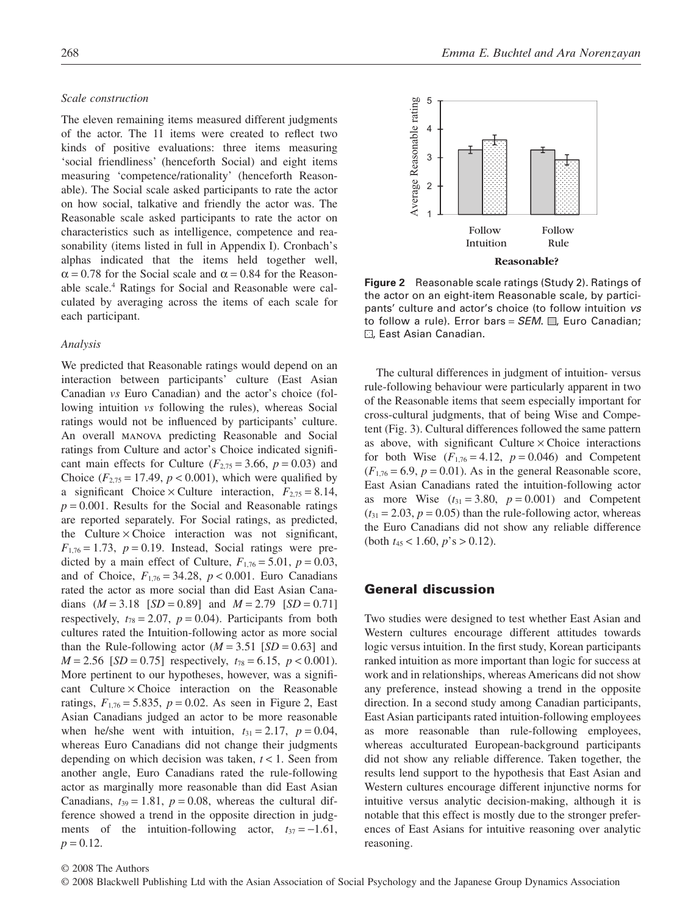#### *Scale construction*

The eleven remaining items measured different judgments of the actor. The 11 items were created to reflect two kinds of positive evaluations: three items measuring 'social friendliness' (henceforth Social) and eight items measuring 'competence/rationality' (henceforth Reasonable). The Social scale asked participants to rate the actor on how social, talkative and friendly the actor was. The Reasonable scale asked participants to rate the actor on characteristics such as intelligence, competence and reasonability (items listed in full in Appendix I). Cronbach's alphas indicated that the items held together well,  $\alpha$  = 0.78 for the Social scale and  $\alpha$  = 0.84 for the Reasonable scale.4 Ratings for Social and Reasonable were calculated by averaging across the items of each scale for each participant.

#### *Analysis*

We predicted that Reasonable ratings would depend on an interaction between participants' culture (East Asian Canadian *vs* Euro Canadian) and the actor's choice (following intuition *vs* following the rules), whereas Social ratings would not be influenced by participants' culture. An overall manova predicting Reasonable and Social ratings from Culture and actor's Choice indicated significant main effects for Culture ( $F_{2,75} = 3.66$ ,  $p = 0.03$ ) and Choice  $(F_{2,75} = 17.49, p < 0.001)$ , which were qualified by a significant Choice  $\times$  Culture interaction,  $F_{2,75} = 8.14$ ,  $p = 0.001$ . Results for the Social and Reasonable ratings are reported separately. For Social ratings, as predicted, the Culture  $\times$  Choice interaction was not significant,  $F_{1,76} = 1.73$ ,  $p = 0.19$ . Instead, Social ratings were predicted by a main effect of Culture,  $F_{1,76} = 5.01$ ,  $p = 0.03$ , and of Choice,  $F_{1,76} = 34.28$ ,  $p < 0.001$ . Euro Canadians rated the actor as more social than did East Asian Canadians  $(M = 3.18$  [*SD* = 0.89] and  $M = 2.79$  [*SD* = 0.71] respectively,  $t_{78} = 2.07$ ,  $p = 0.04$ ). Participants from both cultures rated the Intuition-following actor as more social than the Rule-following actor  $(M = 3.51$  [*SD* = 0.63] and  $M = 2.56$  [*SD* = 0.75] respectively,  $t_{78} = 6.15$ ,  $p < 0.001$ ). More pertinent to our hypotheses, however, was a significant Culture  $\times$  Choice interaction on the Reasonable ratings,  $F_{1,76} = 5.835$ ,  $p = 0.02$ . As seen in Figure 2, East Asian Canadians judged an actor to be more reasonable when he/she went with intuition,  $t_{31} = 2.17$ ,  $p = 0.04$ , whereas Euro Canadians did not change their judgments depending on which decision was taken, *t* < 1. Seen from another angle, Euro Canadians rated the rule-following actor as marginally more reasonable than did East Asian Canadians,  $t_{39} = 1.81$ ,  $p = 0.08$ , whereas the cultural difference showed a trend in the opposite direction in judgments of the intuition-following actor,  $t_{37} = -1.61$ ,  $p = 0.12$ .



**Figure 2** Reasonable scale ratings (Study 2). Ratings of the actor on an eight-item Reasonable scale, by participants' culture and actor's choice (to follow intuition *vs* to follow a rule). Error bars =  $SEM$ .  $\Box$ , Euro Canadian; , East Asian Canadian.

The cultural differences in judgment of intuition- versus rule-following behaviour were particularly apparent in two of the Reasonable items that seem especially important for cross-cultural judgments, that of being Wise and Competent (Fig. 3). Cultural differences followed the same pattern as above, with significant Culture  $\times$  Choice interactions for both Wise  $(F_{1,76} = 4.12, p = 0.046)$  and Competent  $(F_{1,76} = 6.9, p = 0.01)$ . As in the general Reasonable score, East Asian Canadians rated the intuition-following actor as more Wise  $(t_{31} = 3.80, p = 0.001)$  and Competent  $(t_{31} = 2.03, p = 0.05)$  than the rule-following actor, whereas the Euro Canadians did not show any reliable difference (both *t*<sup>45</sup> < 1.60, *p*'s > 0.12).

### **General discussion**

Two studies were designed to test whether East Asian and Western cultures encourage different attitudes towards logic versus intuition. In the first study, Korean participants ranked intuition as more important than logic for success at work and in relationships, whereas Americans did not show any preference, instead showing a trend in the opposite direction. In a second study among Canadian participants, East Asian participants rated intuition-following employees as more reasonable than rule-following employees, whereas acculturated European-background participants did not show any reliable difference. Taken together, the results lend support to the hypothesis that East Asian and Western cultures encourage different injunctive norms for intuitive versus analytic decision-making, although it is notable that this effect is mostly due to the stronger preferences of East Asians for intuitive reasoning over analytic reasoning.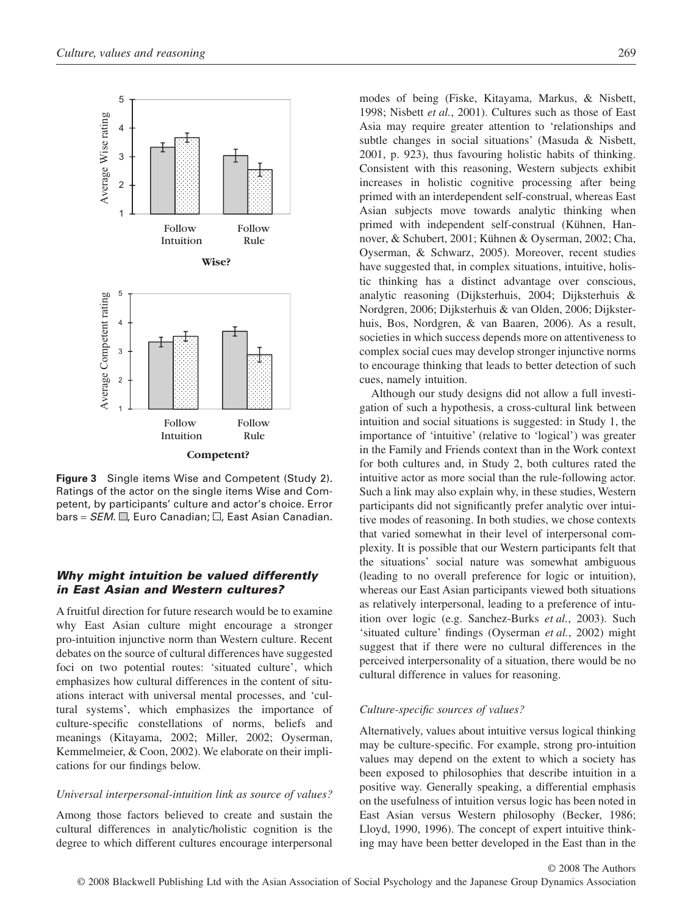

**Figure 3** Single items Wise and Competent (Study 2). Ratings of the actor on the single items Wise and Competent, by participants' culture and actor's choice. Error bars = *SEM*.  $\Box$ , Euro Canadian;  $\Box$ , East Asian Canadian.

## *Why might intuition be valued differently in East Asian and Western cultures?*

A fruitful direction for future research would be to examine why East Asian culture might encourage a stronger pro-intuition injunctive norm than Western culture. Recent debates on the source of cultural differences have suggested foci on two potential routes: 'situated culture', which emphasizes how cultural differences in the content of situations interact with universal mental processes, and 'cultural systems', which emphasizes the importance of culture-specific constellations of norms, beliefs and meanings (Kitayama, 2002; Miller, 2002; Oyserman, Kemmelmeier, & Coon, 2002). We elaborate on their implications for our findings below.

#### *Universal interpersonal-intuition link as source of values?*

Among those factors believed to create and sustain the cultural differences in analytic/holistic cognition is the degree to which different cultures encourage interpersonal modes of being (Fiske, Kitayama, Markus, & Nisbett, 1998; Nisbett *et al.*, 2001). Cultures such as those of East Asia may require greater attention to 'relationships and subtle changes in social situations' (Masuda & Nisbett, 2001, p. 923), thus favouring holistic habits of thinking. Consistent with this reasoning, Western subjects exhibit increases in holistic cognitive processing after being primed with an interdependent self-construal, whereas East Asian subjects move towards analytic thinking when primed with independent self-construal (Kühnen, Hannover, & Schubert, 2001; Kühnen & Oyserman, 2002; Cha, Oyserman, & Schwarz, 2005). Moreover, recent studies have suggested that, in complex situations, intuitive, holistic thinking has a distinct advantage over conscious, analytic reasoning (Dijksterhuis, 2004; Dijksterhuis & Nordgren, 2006; Dijksterhuis & van Olden, 2006; Dijksterhuis, Bos, Nordgren, & van Baaren, 2006). As a result, societies in which success depends more on attentiveness to complex social cues may develop stronger injunctive norms to encourage thinking that leads to better detection of such cues, namely intuition.

Although our study designs did not allow a full investigation of such a hypothesis, a cross-cultural link between intuition and social situations is suggested: in Study 1, the importance of 'intuitive' (relative to 'logical') was greater in the Family and Friends context than in the Work context for both cultures and, in Study 2, both cultures rated the intuitive actor as more social than the rule-following actor. Such a link may also explain why, in these studies, Western participants did not significantly prefer analytic over intuitive modes of reasoning. In both studies, we chose contexts that varied somewhat in their level of interpersonal complexity. It is possible that our Western participants felt that the situations' social nature was somewhat ambiguous (leading to no overall preference for logic or intuition), whereas our East Asian participants viewed both situations as relatively interpersonal, leading to a preference of intuition over logic (e.g. Sanchez-Burks *et al.*, 2003). Such 'situated culture' findings (Oyserman *et al.*, 2002) might suggest that if there were no cultural differences in the perceived interpersonality of a situation, there would be no cultural difference in values for reasoning.

#### *Culture-specific sources of values?*

Alternatively, values about intuitive versus logical thinking may be culture-specific. For example, strong pro-intuition values may depend on the extent to which a society has been exposed to philosophies that describe intuition in a positive way. Generally speaking, a differential emphasis on the usefulness of intuition versus logic has been noted in East Asian versus Western philosophy (Becker, 1986; Lloyd, 1990, 1996). The concept of expert intuitive thinking may have been better developed in the East than in the

<sup>© 2008</sup> Blackwell Publishing Ltd with the Asian Association of Social Psychology and the Japanese Group Dynamics Association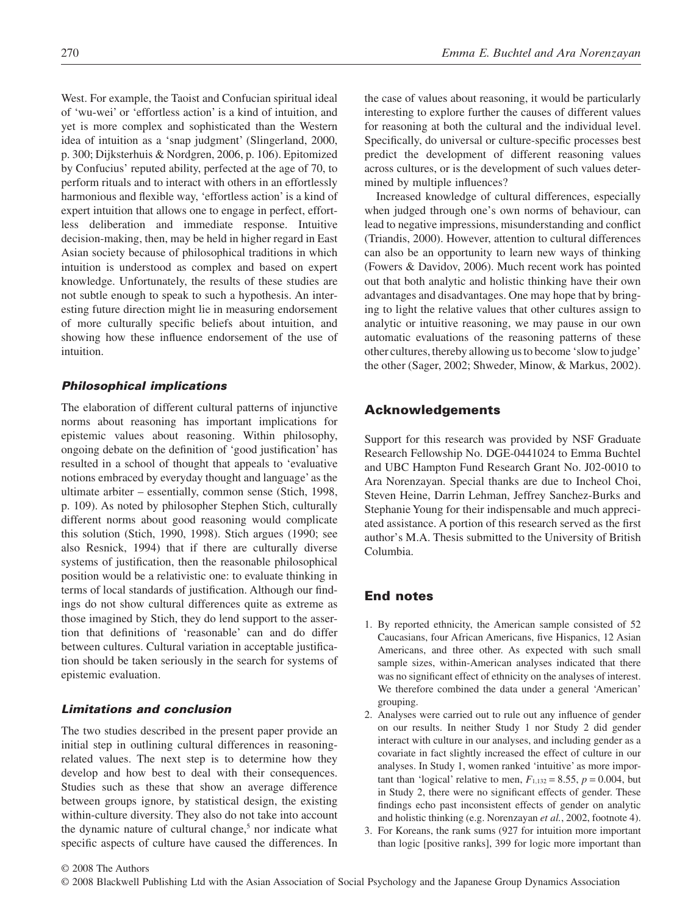West. For example, the Taoist and Confucian spiritual ideal of 'wu-wei' or 'effortless action' is a kind of intuition, and yet is more complex and sophisticated than the Western idea of intuition as a 'snap judgment' (Slingerland, 2000, p. 300; Dijksterhuis & Nordgren, 2006, p. 106). Epitomized by Confucius' reputed ability, perfected at the age of 70, to perform rituals and to interact with others in an effortlessly harmonious and flexible way, 'effortless action' is a kind of expert intuition that allows one to engage in perfect, effortless deliberation and immediate response. Intuitive decision-making, then, may be held in higher regard in East Asian society because of philosophical traditions in which intuition is understood as complex and based on expert knowledge. Unfortunately, the results of these studies are not subtle enough to speak to such a hypothesis. An interesting future direction might lie in measuring endorsement of more culturally specific beliefs about intuition, and showing how these influence endorsement of the use of intuition.

### *Philosophical implications*

The elaboration of different cultural patterns of injunctive norms about reasoning has important implications for epistemic values about reasoning. Within philosophy, ongoing debate on the definition of 'good justification' has resulted in a school of thought that appeals to 'evaluative notions embraced by everyday thought and language' as the ultimate arbiter – essentially, common sense (Stich, 1998, p. 109). As noted by philosopher Stephen Stich, culturally different norms about good reasoning would complicate this solution (Stich, 1990, 1998). Stich argues (1990; see also Resnick, 1994) that if there are culturally diverse systems of justification, then the reasonable philosophical position would be a relativistic one: to evaluate thinking in terms of local standards of justification. Although our findings do not show cultural differences quite as extreme as those imagined by Stich, they do lend support to the assertion that definitions of 'reasonable' can and do differ between cultures. Cultural variation in acceptable justification should be taken seriously in the search for systems of epistemic evaluation.

# *Limitations and conclusion*

The two studies described in the present paper provide an initial step in outlining cultural differences in reasoningrelated values. The next step is to determine how they develop and how best to deal with their consequences. Studies such as these that show an average difference between groups ignore, by statistical design, the existing within-culture diversity. They also do not take into account the dynamic nature of cultural change, $5$  nor indicate what specific aspects of culture have caused the differences. In the case of values about reasoning, it would be particularly interesting to explore further the causes of different values for reasoning at both the cultural and the individual level. Specifically, do universal or culture-specific processes best predict the development of different reasoning values across cultures, or is the development of such values determined by multiple influences?

Increased knowledge of cultural differences, especially when judged through one's own norms of behaviour, can lead to negative impressions, misunderstanding and conflict (Triandis, 2000). However, attention to cultural differences can also be an opportunity to learn new ways of thinking (Fowers & Davidov, 2006). Much recent work has pointed out that both analytic and holistic thinking have their own advantages and disadvantages. One may hope that by bringing to light the relative values that other cultures assign to analytic or intuitive reasoning, we may pause in our own automatic evaluations of the reasoning patterns of these other cultures, thereby allowing us to become 'slow to judge' the other (Sager, 2002; Shweder, Minow, & Markus, 2002).

## **Acknowledgements**

Support for this research was provided by NSF Graduate Research Fellowship No. DGE-0441024 to Emma Buchtel and UBC Hampton Fund Research Grant No. J02-0010 to Ara Norenzayan. Special thanks are due to Incheol Choi, Steven Heine, Darrin Lehman, Jeffrey Sanchez-Burks and Stephanie Young for their indispensable and much appreciated assistance. A portion of this research served as the first author's M.A. Thesis submitted to the University of British Columbia.

# **End notes**

- 1. By reported ethnicity, the American sample consisted of 52 Caucasians, four African Americans, five Hispanics, 12 Asian Americans, and three other. As expected with such small sample sizes, within-American analyses indicated that there was no significant effect of ethnicity on the analyses of interest. We therefore combined the data under a general 'American' grouping.
- 2. Analyses were carried out to rule out any influence of gender on our results. In neither Study 1 nor Study 2 did gender interact with culture in our analyses, and including gender as a covariate in fact slightly increased the effect of culture in our analyses. In Study 1, women ranked 'intuitive' as more important than 'logical' relative to men,  $F_{1,132} = 8.55$ ,  $p = 0.004$ , but in Study 2, there were no significant effects of gender. These findings echo past inconsistent effects of gender on analytic and holistic thinking (e.g. Norenzayan *et al.*, 2002, footnote 4).
- 3. For Koreans, the rank sums (927 for intuition more important than logic [positive ranks], 399 for logic more important than

<sup>© 2008</sup> Blackwell Publishing Ltd with the Asian Association of Social Psychology and the Japanese Group Dynamics Association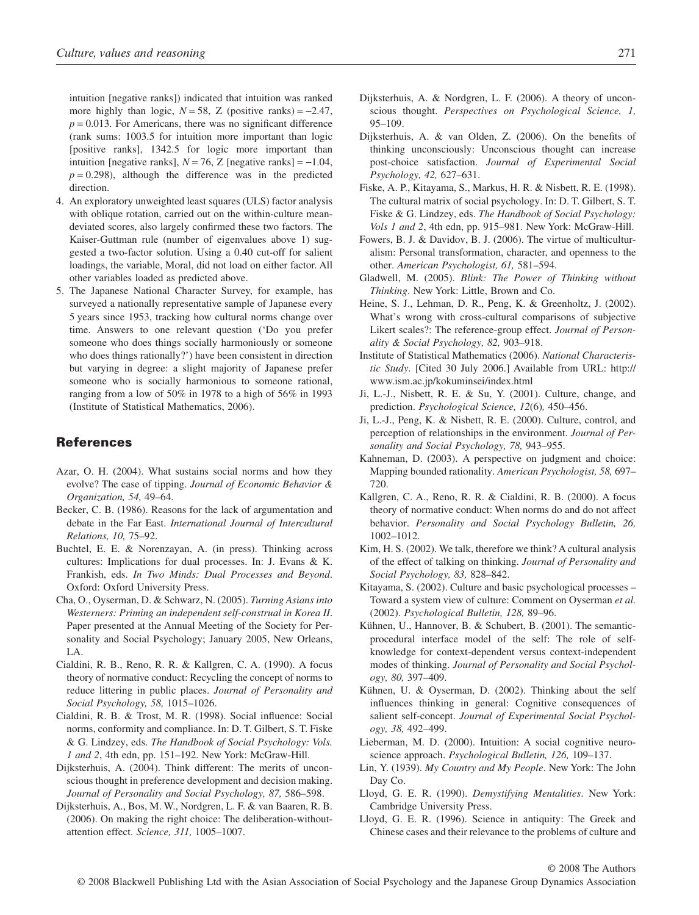intuition [negative ranks]) indicated that intuition was ranked more highly than logic,  $N = 58$ , Z (positive ranks) = -2.47,  $p = 0.013$ . For Americans, there was no significant difference (rank sums: 1003.5 for intuition more important than logic [positive ranks], 1342.5 for logic more important than intuition [negative ranks],  $N = 76$ , Z [negative ranks] =  $-1.04$ ,  $p = 0.298$ ), although the difference was in the predicted direction.

- 4. An exploratory unweighted least squares (ULS) factor analysis with oblique rotation, carried out on the within-culture meandeviated scores, also largely confirmed these two factors. The Kaiser-Guttman rule (number of eigenvalues above 1) suggested a two-factor solution. Using a 0.40 cut-off for salient loadings, the variable, Moral, did not load on either factor. All other variables loaded as predicted above.
- 5. The Japanese National Character Survey, for example, has surveyed a nationally representative sample of Japanese every 5 years since 1953, tracking how cultural norms change over time. Answers to one relevant question ('Do you prefer someone who does things socially harmoniously or someone who does things rationally?') have been consistent in direction but varying in degree: a slight majority of Japanese prefer someone who is socially harmonious to someone rational, ranging from a low of 50% in 1978 to a high of 56% in 1993 (Institute of Statistical Mathematics, 2006).

## **References**

- Azar, O. H. (2004). What sustains social norms and how they evolve? The case of tipping. *Journal of Economic Behavior & Organization, 54,* 49–64.
- Becker, C. B. (1986). Reasons for the lack of argumentation and debate in the Far East. *International Journal of Intercultural Relations, 10,* 75–92.
- Buchtel, E. E. & Norenzayan, A. (in press). Thinking across cultures: Implications for dual processes. In: J. Evans & K. Frankish, eds. *In Two Minds: Dual Processes and Beyond*. Oxford: Oxford University Press.
- Cha, O., Oyserman, D. & Schwarz, N. (2005). *Turning Asians into Westerners: Priming an independent self-construal in Korea II*. Paper presented at the Annual Meeting of the Society for Personality and Social Psychology; January 2005, New Orleans, LA.
- Cialdini, R. B., Reno, R. R. & Kallgren, C. A. (1990). A focus theory of normative conduct: Recycling the concept of norms to reduce littering in public places. *Journal of Personality and Social Psychology, 58,* 1015–1026.
- Cialdini, R. B. & Trost, M. R. (1998). Social influence: Social norms, conformity and compliance. In: D. T. Gilbert, S. T. Fiske & G. Lindzey, eds. *The Handbook of Social Psychology: Vols. 1 and 2*, 4th edn, pp. 151–192. New York: McGraw-Hill.
- Dijksterhuis, A. (2004). Think different: The merits of unconscious thought in preference development and decision making. *Journal of Personality and Social Psychology, 87,* 586–598.
- Dijksterhuis, A., Bos, M. W., Nordgren, L. F. & van Baaren, R. B. (2006). On making the right choice: The deliberation-withoutattention effect. *Science, 311,* 1005–1007.
- Dijksterhuis, A. & Nordgren, L. F. (2006). A theory of unconscious thought. *Perspectives on Psychological Science, 1,* 95–109.
- Dijksterhuis, A. & van Olden, Z. (2006). On the benefits of thinking unconsciously: Unconscious thought can increase post-choice satisfaction. *Journal of Experimental Social Psychology, 42,* 627–631.
- Fiske, A. P., Kitayama, S., Markus, H. R. & Nisbett, R. E. (1998). The cultural matrix of social psychology. In: D. T. Gilbert, S. T. Fiske & G. Lindzey, eds. *The Handbook of Social Psychology: Vols 1 and 2*, 4th edn, pp. 915–981. New York: McGraw-Hill.
- Fowers, B. J. & Davidov, B. J. (2006). The virtue of multiculturalism: Personal transformation, character, and openness to the other. *American Psychologist, 61,* 581–594.
- Gladwell, M. (2005). *Blink: The Power of Thinking without Thinking*. New York: Little, Brown and Co.
- Heine, S. J., Lehman, D. R., Peng, K. & Greenholtz, J. (2002). What's wrong with cross-cultural comparisons of subjective Likert scales?: The reference-group effect. *Journal of Personality & Social Psychology, 82,* 903–918.
- Institute of Statistical Mathematics (2006). *National Characteristic Study*. [Cited 30 July 2006.] Available from URL: [http://](http://www.ism.ac.jp/kokuminsei/index.html) [www.ism.ac.jp/kokuminsei/index.html](http://www.ism.ac.jp/kokuminsei/index.html)
- Ji, L.-J., Nisbett, R. E. & Su, Y. (2001). Culture, change, and prediction. *Psychological Science, 12*(6)*,* 450–456.
- Ji, L.-J., Peng, K. & Nisbett, R. E. (2000). Culture, control, and perception of relationships in the environment. *Journal of Personality and Social Psychology, 78,* 943–955.
- Kahneman, D. (2003). A perspective on judgment and choice: Mapping bounded rationality. *American Psychologist, 58,* 697– 720.
- Kallgren, C. A., Reno, R. R. & Cialdini, R. B. (2000). A focus theory of normative conduct: When norms do and do not affect behavior. *Personality and Social Psychology Bulletin, 26,* 1002–1012.
- Kim, H. S. (2002). We talk, therefore we think? A cultural analysis of the effect of talking on thinking. *Journal of Personality and Social Psychology, 83,* 828–842.
- Kitayama, S. (2002). Culture and basic psychological processes Toward a system view of culture: Comment on Oyserman *et al.* (2002). *Psychological Bulletin, 128,* 89–96.
- Kühnen, U., Hannover, B. & Schubert, B. (2001). The semanticprocedural interface model of the self: The role of selfknowledge for context-dependent versus context-independent modes of thinking. *Journal of Personality and Social Psychology, 80,* 397–409.
- Kühnen, U. & Oyserman, D. (2002). Thinking about the self influences thinking in general: Cognitive consequences of salient self-concept. *Journal of Experimental Social Psychology, 38,* 492–499.
- Lieberman, M. D. (2000). Intuition: A social cognitive neuroscience approach. *Psychological Bulletin, 126,* 109–137.
- Lin, Y. (1939). *My Country and My People*. New York: The John Day Co.
- Lloyd, G. E. R. (1990). *Demystifying Mentalities*. New York: Cambridge University Press.
- Lloyd, G. E. R. (1996). Science in antiquity: The Greek and Chinese cases and their relevance to the problems of culture and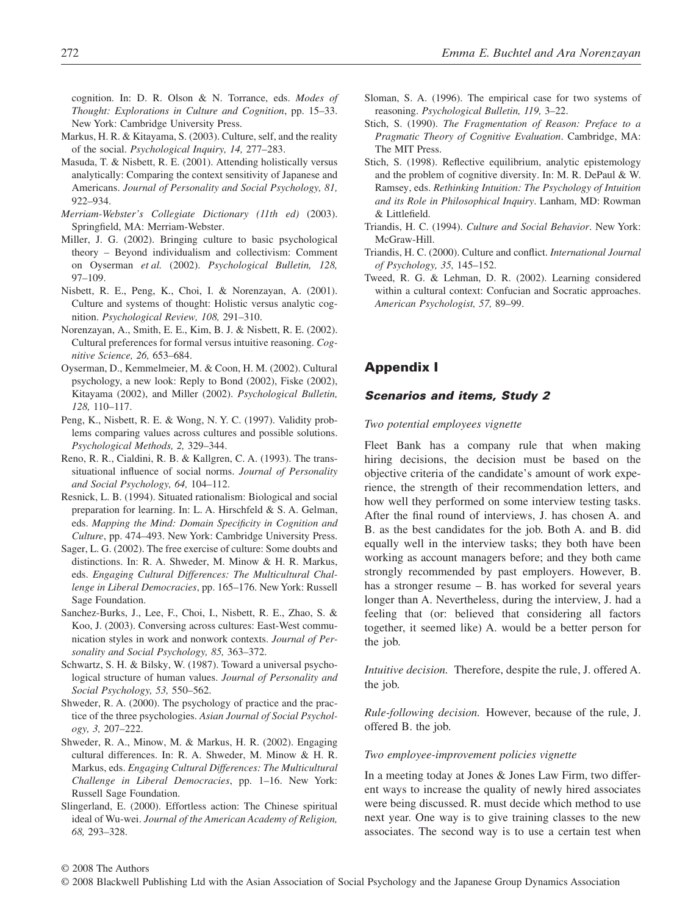- Markus, H. R. & Kitayama, S. (2003). Culture, self, and the reality of the social. *Psychological Inquiry, 14,* 277–283.
- Masuda, T. & Nisbett, R. E. (2001). Attending holistically versus analytically: Comparing the context sensitivity of Japanese and Americans. *Journal of Personality and Social Psychology, 81,* 922–934.
- *Merriam-Webster's Collegiate Dictionary (11th ed)* (2003). Springfield, MA: Merriam-Webster.
- Miller, J. G. (2002). Bringing culture to basic psychological theory – Beyond individualism and collectivism: Comment on Oyserman *et al.* (2002). *Psychological Bulletin, 128,* 97–109.
- Nisbett, R. E., Peng, K., Choi, I. & Norenzayan, A. (2001). Culture and systems of thought: Holistic versus analytic cognition. *Psychological Review, 108,* 291–310.
- Norenzayan, A., Smith, E. E., Kim, B. J. & Nisbett, R. E. (2002). Cultural preferences for formal versus intuitive reasoning. *Cognitive Science, 26,* 653–684.
- Oyserman, D., Kemmelmeier, M. & Coon, H. M. (2002). Cultural psychology, a new look: Reply to Bond (2002), Fiske (2002), Kitayama (2002), and Miller (2002). *Psychological Bulletin, 128,* 110–117.
- Peng, K., Nisbett, R. E. & Wong, N. Y. C. (1997). Validity problems comparing values across cultures and possible solutions. *Psychological Methods, 2,* 329–344.
- Reno, R. R., Cialdini, R. B. & Kallgren, C. A. (1993). The transsituational influence of social norms. *Journal of Personality and Social Psychology, 64,* 104–112.
- Resnick, L. B. (1994). Situated rationalism: Biological and social preparation for learning. In: L. A. Hirschfeld & S. A. Gelman, eds. *Mapping the Mind: Domain Specificity in Cognition and Culture*, pp. 474–493. New York: Cambridge University Press.
- Sager, L. G. (2002). The free exercise of culture: Some doubts and distinctions. In: R. A. Shweder, M. Minow & H. R. Markus, eds. *Engaging Cultural Differences: The Multicultural Challenge in Liberal Democracies*, pp. 165–176. New York: Russell Sage Foundation.
- Sanchez-Burks, J., Lee, F., Choi, I., Nisbett, R. E., Zhao, S. & Koo, J. (2003). Conversing across cultures: East-West communication styles in work and nonwork contexts. *Journal of Personality and Social Psychology, 85,* 363–372.
- Schwartz, S. H. & Bilsky, W. (1987). Toward a universal psychological structure of human values. *Journal of Personality and Social Psychology, 53,* 550–562.
- Shweder, R. A. (2000). The psychology of practice and the practice of the three psychologies. *Asian Journal of Social Psychology, 3,* 207–222.
- Shweder, R. A., Minow, M. & Markus, H. R. (2002). Engaging cultural differences. In: R. A. Shweder, M. Minow & H. R. Markus, eds. *Engaging Cultural Differences: The Multicultural Challenge in Liberal Democracies*, pp. 1–16. New York: Russell Sage Foundation.
- Slingerland, E. (2000). Effortless action: The Chinese spiritual ideal of Wu-wei. *Journal of the American Academy of Religion, 68,* 293–328.
- Sloman, S. A. (1996). The empirical case for two systems of reasoning. *Psychological Bulletin, 119,* 3–22.
- Stich, S. (1990). *The Fragmentation of Reason: Preface to a Pragmatic Theory of Cognitive Evaluation*. Cambridge, MA: The MIT Press.
- Stich, S. (1998). Reflective equilibrium, analytic epistemology and the problem of cognitive diversity. In: M. R. DePaul & W. Ramsey, eds. *Rethinking Intuition: The Psychology of Intuition and its Role in Philosophical Inquiry*. Lanham, MD: Rowman & Littlefield.
- Triandis, H. C. (1994). *Culture and Social Behavior*. New York: McGraw-Hill.
- Triandis, H. C. (2000). Culture and conflict. *International Journal of Psychology, 35,* 145–152.
- Tweed, R. G. & Lehman, D. R. (2002). Learning considered within a cultural context: Confucian and Socratic approaches. *American Psychologist, 57,* 89–99.

# **Appendix I**

### *Scenarios and items, Study 2*

### *Two potential employees vignette*

Fleet Bank has a company rule that when making hiring decisions, the decision must be based on the objective criteria of the candidate's amount of work experience, the strength of their recommendation letters, and how well they performed on some interview testing tasks. After the final round of interviews, J. has chosen A. and B. as the best candidates for the job. Both A. and B. did equally well in the interview tasks; they both have been working as account managers before; and they both came strongly recommended by past employers. However, B. has a stronger resume – B. has worked for several years longer than A. Nevertheless, during the interview, J. had a feeling that (or: believed that considering all factors together, it seemed like) A. would be a better person for the job.

*Intuitive decision.* Therefore, despite the rule, J. offered A. the job.

*Rule-following decision.* However, because of the rule, J. offered B. the job.

#### *Two employee-improvement policies vignette*

In a meeting today at Jones & Jones Law Firm, two different ways to increase the quality of newly hired associates were being discussed. R. must decide which method to use next year. One way is to give training classes to the new associates. The second way is to use a certain test when

© 2008 The Authors

© 2008 Blackwell Publishing Ltd with the Asian Association of Social Psychology and the Japanese Group Dynamics Association